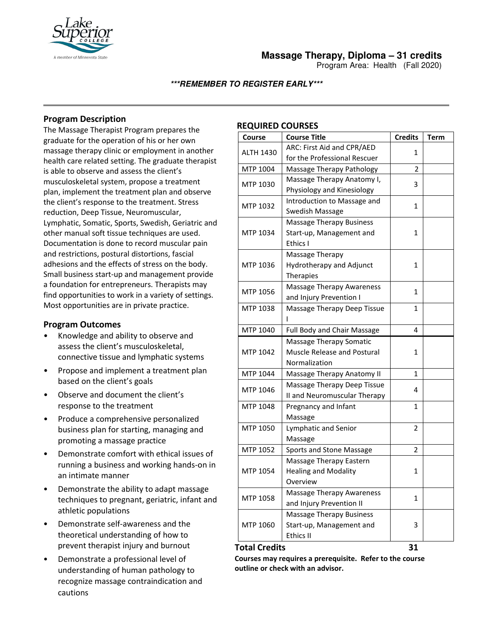

Program Area: Health (Fall 2020)

## **\*\*\*REMEMBER TO REGISTER EARLY\*\*\***

# **Program Description**

The Massage Therapist Program prepares the graduate for the operation of his or her own massage therapy clinic or employment in another health care related setting. The graduate therapist is able to observe and assess the client's musculoskeletal system, propose a treatment plan, implement the treatment plan and observe the client's response to the treatment. Stress reduction, Deep Tissue, Neuromuscular, Lymphatic, Somatic, Sports, Swedish, Geriatric and other manual soft tissue techniques are used. Documentation is done to record muscular pain and restrictions, postural distortions, fascial adhesions and the effects of stress on the body. Small business start-up and management provide a foundation for entrepreneurs. Therapists may find opportunities to work in a variety of settings. Most opportunities are in private practice.

# **Program Outcomes**

- Knowledge and ability to observe and assess the client's musculoskeletal, connective tissue and lymphatic systems
- Propose and implement a treatment plan based on the client's goals
- Observe and document the client's response to the treatment
- Produce a comprehensive personalized business plan for starting, managing and promoting a massage practice
- Demonstrate comfort with ethical issues of running a business and working hands-on in an intimate manner
- Demonstrate the ability to adapt massage techniques to pregnant, geriatric, infant and athletic populations
- Demonstrate self-awareness and the theoretical understanding of how to prevent therapist injury and burnout
- Demonstrate a professional level of understanding of human pathology to recognize massage contraindication and cautions

### **REQUIRED COURSES**

| <b>Course</b>    | <b>Course Title</b>                | <b>Credits</b> | <b>Term</b> |
|------------------|------------------------------------|----------------|-------------|
| <b>ALTH 1430</b> | ARC: First Aid and CPR/AED         | 1              |             |
|                  | for the Professional Rescuer       |                |             |
| MTP 1004         | Massage Therapy Pathology          | $\mathfrak z$  |             |
| MTP 1030         | Massage Therapy Anatomy I,         | 3              |             |
|                  | Physiology and Kinesiology         |                |             |
| MTP 1032         | Introduction to Massage and        | $\mathbf{1}$   |             |
|                  | Swedish Massage                    |                |             |
| MTP 1034         | <b>Massage Therapy Business</b>    | 1              |             |
|                  | Start-up, Management and           |                |             |
|                  | Ethics I                           |                |             |
| MTP 1036         | Massage Therapy                    | $\mathbf{1}$   |             |
|                  | Hydrotherapy and Adjunct           |                |             |
|                  | Therapies                          |                |             |
| MTP 1056         | <b>Massage Therapy Awareness</b>   | 1              |             |
|                  | and Injury Prevention I            |                |             |
| MTP 1038         | Massage Therapy Deep Tissue        | 1              |             |
|                  |                                    |                |             |
| MTP 1040         | Full Body and Chair Massage        | 4              |             |
| MTP 1042         | Massage Therapy Somatic            | $\mathbf{1}$   |             |
|                  | <b>Muscle Release and Postural</b> |                |             |
|                  | Normalization                      |                |             |
| MTP 1044         | Massage Therapy Anatomy II         | 1              |             |
| MTP 1046         | Massage Therapy Deep Tissue        | 4              |             |
|                  | II and Neuromuscular Therapy       |                |             |
| MTP 1048         | Pregnancy and Infant               | $\mathbf{1}$   |             |
|                  | Massage                            |                |             |
| MTP 1050         | Lymphatic and Senior               | $\overline{2}$ |             |
|                  | Massage                            |                |             |
| MTP 1052         | Sports and Stone Massage           | $\overline{2}$ |             |
| MTP 1054         | Massage Therapy Eastern            | 1              |             |
|                  | <b>Healing and Modality</b>        |                |             |
|                  | Overview                           |                |             |
| MTP 1058         | <b>Massage Therapy Awareness</b>   | $\mathbf{1}$   |             |
|                  | and Injury Prevention II           |                |             |
| MTP 1060         | <b>Massage Therapy Business</b>    | 3              |             |
|                  | Start-up, Management and           |                |             |
|                  | Ethics II                          |                |             |

## **Total Credits 31**

**Courses may requires a prerequisite. Refer to the course outline or check with an advisor.**